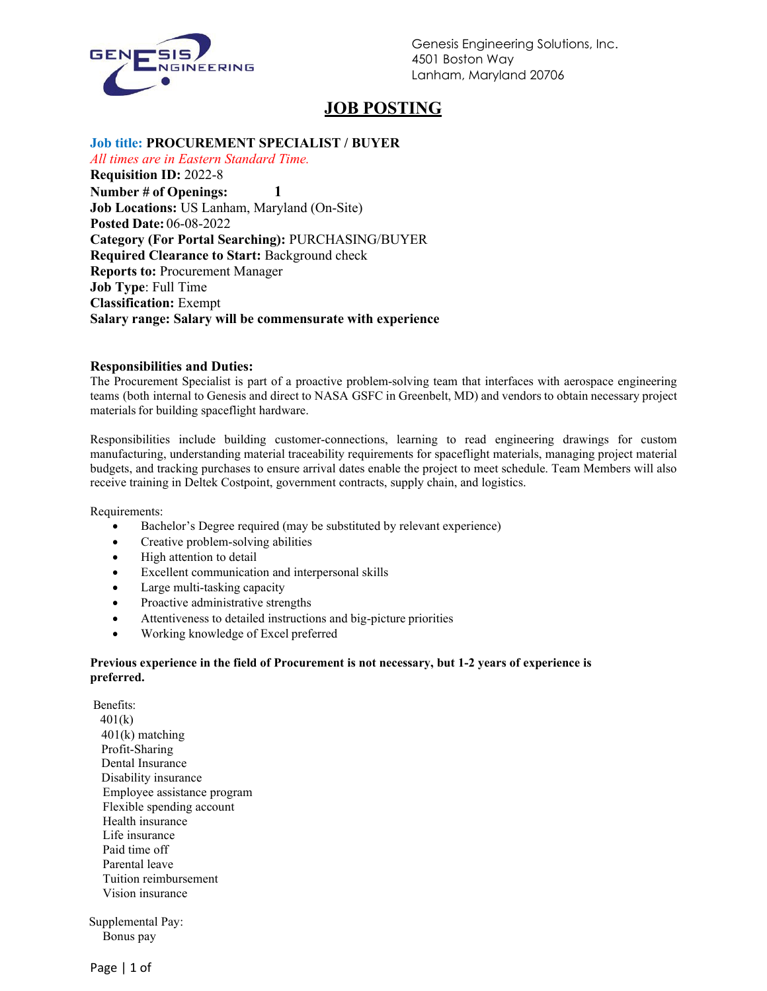

Genesis Engineering Solutions, Inc. 4501 Boston Way Lanham, Maryland 20706

# **JOB POSTING**

# **Job title: PROCUREMENT SPECIALIST / BUYER**

*All times are in Eastern Standard Time.* **Requisition ID:** 2022-8 **Number # of Openings: 1 Job Locations:** US Lanham, Maryland (On-Site) **Posted Date:** 06-08-2022 **Category (For Portal Searching):** PURCHASING/BUYER **Required Clearance to Start:** Background check **Reports to:** Procurement Manager **Job Type**: Full Time **Classification:** Exempt **Salary range: Salary will be commensurate with experience**

#### **Responsibilities and Duties:**

The Procurement Specialist is part of a proactive problem-solving team that interfaces with aerospace engineering teams (both internal to Genesis and direct to NASA GSFC in Greenbelt, MD) and vendors to obtain necessary project materials for building spaceflight hardware.

Responsibilities include building customer-connections, learning to read engineering drawings for custom manufacturing, understanding material traceability requirements for spaceflight materials, managing project material budgets, and tracking purchases to ensure arrival dates enable the project to meet schedule. Team Members will also receive training in Deltek Costpoint, government contracts, supply chain, and logistics.

Requirements:

- Bachelor's Degree required (may be substituted by relevant experience)
- Creative problem-solving abilities
- High attention to detail
- Excellent communication and interpersonal skills
- Large multi-tasking capacity
- Proactive administrative strengths
- Attentiveness to detailed instructions and big-picture priorities
- Working knowledge of Excel preferred

#### **Previous experience in the field of Procurement is not necessary, but 1-2 years of experience is preferred.**

Benefits: 401(k) 401(k) matching Profit-Sharing Dental Insurance Disability insurance Employee assistance program Flexible spending account Health insurance Life insurance Paid time off Parental leave Tuition reimbursement Vision insurance

 Supplemental Pay: Bonus pay